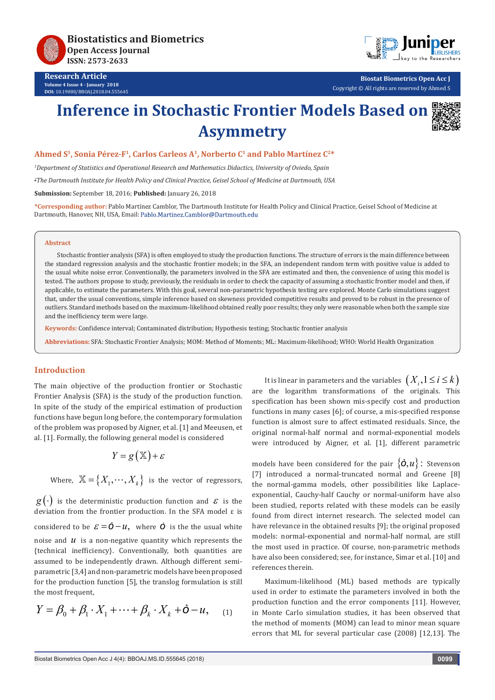

**Research Article Volume 4 Issue 4 - January 2018 DOI:** [10.19080/BBOAJ.2018.04.55564](http://dx.doi.org/10.19080/BBOAJ.2018.04.555645)5



**Biostat Biometrics Open Acc J** Copyright © All rights are reserved by Ahmed S

# **Inference in Stochastic Frontier Models Based on Asymmetry**



# **Ahmed S1, Sonia Pérez-F1, Carlos Carleos A1, Norberto C1 and Pablo Martínez C2\***

*1 Department of Statistics and Operational Research and Mathematics Didactics, University of Oviedo, Spain*

*2 The Dartmouth Institute for Health Policy and Clinical Practice, Geisel School of Medicine at Dartmouth, USA*

**Submission:** September 18, 2016; **Published:** January 26, 2018

**\*Corresponding author:** Pablo Martínez Camblor, The Dartmouth Institute for Health Policy and Clinical Practice, Geisel School of Medicine at Dartmouth, Hanover, NH, USA, Email: Pablo.Martinez.Camblor@Dartmouth.edu

#### **Abstract**

Stochastic frontier analysis (SFA) is often employed to study the production functions. The structure of errors is the main difference between the standard regression analysis and the stochastic frontier models; in the SFA, an independent random term with positive value is added to the usual white noise error. Conventionally, the parameters involved in the SFA are estimated and then, the convenience of using this model is tested. The authors propose to study, previously, the residuals in order to check the capacity of assuming a stochastic frontier model and then, if applicable, to estimate the parameters. With this goal, several non-parametric hypothesis testing are explored. Monte Carlo simulations suggest that, under the usual conventions, simple inference based on skewness provided competitive results and proved to be robust in the presence of outliers. Standard methods based on the maximum-likelihood obtained really poor results; they only were reasonable when both the sample size and the inefficiency term were large.

**Keywords:** Confidence interval; Contaminated distribution; Hypothesis testing; Stochastic frontier analysis

**Abbreviations:** SFA: Stochastic Frontier Analysis; MOM: Method of Moments; ML: Maximum-likelihood; WHO: World Health Organization

### **Introduction**

The main objective of the production frontier or Stochastic Frontier Analysis (SFA) is the study of the production function. In spite of the study of the empirical estimation of production functions have begun long before, the contemporary formulation of the problem was proposed by Aigner, et al. [1] and Meeusen, et al. [1]. Formally, the following general model is considered

$$
Y = g(\mathbb{X}) + \varepsilon
$$

Where,  $\mathbb{X} = \{X_1, \dots, X_k\}$  is the vector of regressors,

 $g(\cdot)$  is the deterministic production function and  $\varepsilon$  is the deviation from the frontier production. In the SFA model ε is considered to be  $\mathcal{E} = \dot{\mathbf{O}} - \mathcal{U}$ , where  $\dot{\mathbf{O}}$  is the the usual white noise and  $u$  is a non-negative quantity which represents the {technical inefficiency}. Conventionally, both quantities are assumed to be independently drawn. Although different semiparametric [3,4] and non-parametric models have been proposed for the production function [5], the translog formulation is still the most frequent,

$$
Y = \beta_0 + \beta_1 \cdot X_1 + \dots + \beta_k \cdot X_k + \mathbf{O} - u, \quad (1)
$$

It is linear in parameters and the variables  $(X_i, 1 \le i \le k)$ are the logarithm transformations of the originals. This specification has been shown mis-specify cost and production functions in many cases [6]; of course, a mis-specified response function is almost sure to affect estimated residuals. Since, the original normal-half normal and normal-exponential models were introduced by Aigner, et al. [1], different parametric

models have been considered for the pair  $\{\dot{O}, u\}$ : Stevenson [7] introduced a normal-truncated normal and Greene [8] the normal-gamma models, other possibilities like Laplaceexponential, Cauchy-half Cauchy or normal-uniform have also been studied, reports related with these models can be easily found from direct internet research. The selected model can have relevance in the obtained results [9]; the original proposed models: normal-exponential and normal-half normal, are still the most used in practice. Of course, non-parametric methods have also been considered; see, for instance, Simar et al. [10] and references therein.

Maximum-likelihood (ML) based methods are typically used in order to estimate the parameters involved in both the production function and the error components [11]. However, in Monte Carlo simulation studies, it has been observed that the method of moments (MOM) can lead to minor mean square errors that ML for several particular case (2008) [12,13]. The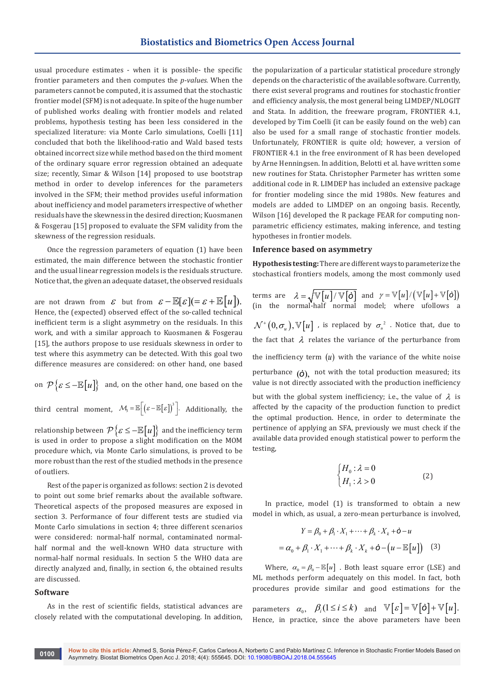usual procedure estimates - when it is possible- the specific frontier parameters and then computes the *p-values.* When the parameters cannot be computed, it is assumed that the stochastic frontier model (SFM) is not adequate. In spite of the huge number of published works dealing with frontier models and related problems, hypothesis testing has been less considered in the specialized literature: via Monte Carlo simulations, Coelli [11] concluded that both the likelihood-ratio and Wald based tests obtained incorrect size while method based on the third moment of the ordinary square error regression obtained an adequate size; recently, Simar & Wilson [14] proposed to use bootstrap method in order to develop inferences for the parameters involved in the SFM; their method provides useful information about inefficiency and model parameters irrespective of whether residuals have the skewness in the desired direction; Kuosmanen & Fosgerau [15] proposed to evaluate the SFM validity from the skewness of the regression residuals.

Once the regression parameters of equation (1) have been estimated, the main difference between the stochastic frontier and the usual linear regression models is the residuals structure. Notice that, the given an adequate dataset, the observed residuals

are not drawn from  $\varepsilon$  but from  $\varepsilon - \mathbb{E}[\varepsilon] (= \varepsilon + \mathbb{E}[u]).$ Hence, the (expected) observed effect of the so-called technical inefficient term is a slight asymmetry on the residuals. In this work, and with a similar approach to Kuosmanen & Fosgerau [15], the authors propose to use residuals skewness in order to test where this asymmetry can be detected. With this goal two difference measures are considered: on other hand, one based

on  $\mathcal{P}\{\varepsilon \leq -\mathbb{E}[u]\}\$ and, on the other hand, one based on the

third central moment,  $\mathcal{M}_3 = \mathbb{E}\Big[\big(\varepsilon - \mathbb{E}[\varepsilon]\big)^3\Big]$ . Additionally, the

relationship between  $\mathcal{P}\{\varepsilon \leq -\mathbb{E}[u]\}$  and the inefficiency term is used in order to propose a slight modification on the MOM procedure which, via Monte Carlo simulations, is proved to be more robust than the rest of the studied methods in the presence of outliers.

Rest of the paper is organized as follows: section 2 is devoted to point out some brief remarks about the available software. Theoretical aspects of the proposed measures are exposed in section 3. Performance of four different tests are studied via Monte Carlo simulations in section 4; three different scenarios were considered: normal-half normal, contaminated normalhalf normal and the well-known WHO data structure with normal-half normal residuals. In section 5 the WHO data are directly analyzed and, finally, in section 6, the obtained results are discussed.

#### **Software**

As in the rest of scientific fields, statistical advances are closely related with the computational developing. In addition,

the popularization of a particular statistical procedure strongly depends on the characteristic of the available software. Currently, there exist several programs and routines for stochastic frontier and efficiency analysis, the most general being LIMDEP/NLOGIT and Stata. In addition, the freeware program, FRONTIER 4.1, developed by Tim Coelli (it can be easily found on the web) can also be used for a small range of stochastic frontier models. Unfortunately, FRONTIER is quite old; however, a version of FRONTIER 4.1 in the free environment of R has been developed by Arne Henningsen. In addition, Belotti et al. have written some new routines for Stata. Christopher Parmeter has written some additional code in R. LIMDEP has included an extensive package for frontier modeling since the mid 1980s. New features and models are added to LIMDEP on an ongoing basis. Recently, Wilson [16] developed the R package FEAR for computing nonparametric efficiency estimates, making inference, and testing hypotheses in frontier models.

# **Inference based on asymmetry**

**Hypothesis testing:** There are different ways to parameterize the stochastical frontiers models, among the most commonly used

terms are  $\lambda = \sqrt{\mathbb{V}\big[u\big]} / \mathbb{V}\big[\mathbf{\hat{o}}\big]$  and  $\gamma = \mathbb{V}\big[u\big]/\big(\mathbb{V}\big[u\big] + \mathbb{V}\big[\mathbf{\hat{o}}\big]\big)$ (in the normal-half normal model; where ufollows a  $\mathcal{N}^+(0, \sigma_u), \mathbb{V}[u]$  , is replaced by  $\sigma_u^2$  . Notice that, due to the fact that  $\lambda$  relates the variance of the perturbance from the inefficiency term  $(u)$  with the variance of the white noise perturbance (*ò*), not with the total production measured; its value is not directly associated with the production inefficiency but with the global system inefficiency; i.e., the value of  $\lambda$  is affected by the capacity of the production function to predict the optimal production. Hence, in order to determinate the pertinence of applying an SFA, previously we must check if the available data provided enough statistical power to perform the testing,

$$
\begin{cases} H_0: \lambda = 0\\ H_1: \lambda > 0 \end{cases}
$$
 (2)

In practice, model (1) is transformed to obtain a new model in which, as usual, a zero-mean perturbance is involved,

$$
Y = \beta_0 + \beta_1 \cdot X_1 + \dots + \beta_k \cdot X_k + \mathbf{\dot{o}} - u
$$

$$
= \alpha_0 + \beta_1 \cdot X_1 + \dots + \beta_k \cdot X_k + \mathbf{\dot{o}} - \left(u - \mathbb{E}[u]\right) \tag{3}
$$

Where,  $\alpha_0 = \beta_0 - \mathbb{E}[u]$ . Both least square error (LSE) and ML methods perform adequately on this model. In fact, both procedures provide similar and good estimations for the

parameters  $\alpha_0$ ,  $\beta_i (1 \le i \le k)$  and  $\mathbb{V}[\varepsilon] = \mathbb{V}[\mathbf{\dot{o}}] + \mathbb{V}[u].$ Hence, in practice, since the above parameters have been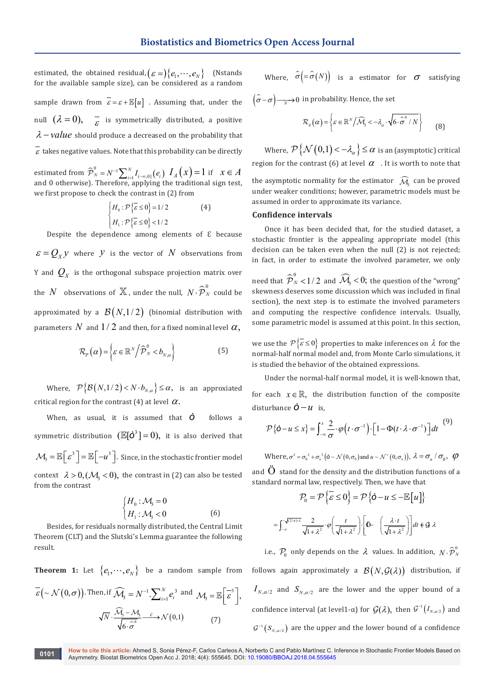estimated, the obtained residual,  $(\varepsilon =)\{e_1, \dots, e_N\}$  (Nstands for the available sample size), can be considered as a random sample drawn from  $\overline{\epsilon} = \varepsilon + \mathbb{E}[u]$ . Assuming that, under the null  $(\lambda = 0)$ ,  $\overline{\varepsilon}$  is symmetrically distributed, a positive  $\lambda$  – *value* should produce a decreased on the probability that  $\overline{\varepsilon}$  takes negative values. Note that this probability can be directly

estimated from  $\widehat{\bm{\mathcal{P}}}_N^0 = N^{-1}\sum\nolimits_{i=1}^N {{I}_{(-\infty,0]}} \left( {{e_i}} \right)$  $\hat{\mathcal{P}}_N^0 = N^{-1} \sum_{i=1}^N I_{(-\infty,0]}(e_i) \, I_A(x) = 1 \text{ if } x \in A$ and 0 otherwise). Therefore, applying the traditional sign test, we first propose to check the contrast in (2) from

$$
\begin{cases} H_0: \mathcal{P}\left\{ \overline{\varepsilon} \le 0 \right\} = 1/2 & \text{(4)}\\ H_1: \mathcal{P}\left\{ \overline{\varepsilon} \le 0 \right\} < 1/2 \end{cases}
$$

Despite the dependence among elements of  $\epsilon$  because  $\mathcal{E} = Q_x y$  where *y* is the vector of *N* observations from Y and  $Q_{\scriptscriptstyle X}$  is the orthogonal subspace projection matrix over the  $N$  observations of  $\mathbb X$  , under the null,  $N\!\cdot \!\widehat{\bm{\mathcal{P}}}_N^0$  could be approximated by a  $\mathcal{B}(N,1/2)$  (binomial distribution with parameters N and  $1/2$  and then, for a fixed nominal level  $\alpha$ ,

$$
\mathcal{R}_{P}(\alpha) = \left\{ \varepsilon \in \mathbb{R}^{N} / \widehat{\mathcal{P}}_{N}^{0} < b_{N,\alpha} \right\} \tag{5}
$$

Where,  $\mathcal{P}\{\mathcal{B}(N,1/2) < N \cdot b_{N,\alpha}\} \leq \alpha$ , is an approxiated critical region for the contrast (4) at level  $\alpha$ .

When, as usual, it is assumed that *ò* follows a symmetric distribution  $(\mathbb{E}[\mathbf{\dot{O}}^3] = 0)$ , it is also derived that  $\mathcal{M}_3 = \mathbb{E}\Big[\,\varepsilon^3\,\Big] = \mathbb{E}\Big[-u^3\,\Big].$  Since, in the stochastic frontier model context  $\lambda > 0$ ,  $(\mathcal{M}_3 < 0)$ , the contrast in (2) can also be tested from the contrast

$$
\begin{cases}\nH_0: \mathcal{M}_3 = 0 \\
H_1: \mathcal{M}_3 < 0\n\end{cases}
$$
\n(6)

Besides, for residuals normally distributed, the Central Limit Theorem (CLT) and the Slutski's Lemma guarantee the following result.

**Theorem 1:** Let  $\{e_1, \dots, e_N\}$  be a random sample from  $\overline{\mathcal{E}}\left(\sim \mathcal{N}\left(0, \sigma\right)\right)$ . Then, if  $\widehat{\mathcal{M}}_3 = N^{-1} \cdot \sum_{i=1}^N e_i^3$  and  $\mathcal{M}_3 = \mathbb{E}\left[\overline{\mathcal{E}}^3\right],$  $\widehat{\mathcal{M}}$  $\frac{1}{6 \cdot \hat{\sigma}^6}$   $\xrightarrow{\sim}$   $\mathcal{N}(0,1)$  $\overline{N}\cdot\frac{\overline{\mathcal{M}_3}-\mathcal{M}_3}{\overline{\mathcal{M}_3}-\mathcal{L}}$ σ  $\frac{\mathcal{M}_3 - \mathcal{M}_3}{\sqrt{6 \cdot \hat{\sigma}} \cdot \hat{\sigma}} \rightarrow \mathcal{N}(0,1)$  (7)

Where,  $\hat{\sigma} = \hat{\sigma}(N)$  is a estimator for  $\sigma$  satisfying

 $(\hat{\sigma}$  –  $\sigma$ ) —<sub>N</sub> → 0 in probability. Hence, the set

$$
\mathcal{R}_A(\alpha) = \left\{ \varepsilon \in \mathbb{R}^N \middle/ \widehat{\mathcal{M}}_3 < -\lambda_\alpha \cdot \sqrt{6 \cdot \widehat{\sigma}^6 / N} \right\} \tag{8}
$$

Where,  $\mathcal{P}\{\mathcal{N}(0,1) < -\lambda_{\alpha}\} \leq \alpha$  is an (asymptotic) critical region for the contrast (6) at level  $\alpha$ . It is worth to note that

the asymptotic normality for the estimator  $\widehat{\mathcal{M}}_3$  can be proved under weaker conditions; however, parametric models must be assumed in order to approximate its variance.

# **Confidence intervals**

Once it has been decided that, for the studied dataset, a stochastic frontier is the appealing appropriate model (this decision can be taken even when the null (2) is not rejected; in fact, in order to estimate the involved parameter, we only

need that  $\widehat{\cal P}_N^0 <$   $1/2$  and  $\widehat{\cal M}_3$  <  $0;$  the question of the "wrong" skewness deserves some discussion which was included in final section), the next step is to estimate the involved parameters and computing the respective confidence intervals. Usually, some parametric model is assumed at this point. In this section,

we use the  $P\{\bar{\varepsilon} \leq 0\}$  properties to make inferences on  $\lambda$  for the normal-half normal model and, from Monte Carlo simulations, it is studied the behavior of the obtained expressions.

Under the normal-half normal model, it is well-known that,

for each  $x \in \mathbb{R}$ , the distribution function of the composite disturbance  $\dot{O} - u$  is,

$$
\mathcal{P}\{\mathbf{\dot{o}}-u\leq x\}=\int_{-\infty}^{x}\frac{2}{\sigma}\cdot\varphi\big(t\cdot\sigma^{-1}\big)\cdot\big[1-\Phi(t\cdot\lambda\cdot\sigma^{-1})\big]dt\tag{9}
$$

Where,  $\sigma^2 = \sigma_0^2 + \sigma_u^2 (\dot{\sigma} \sim \mathcal{N}(0, \sigma_0))$  and  $u \sim \mathcal{N}^+(0, \sigma_u)$ ,  $\lambda = \sigma_u / \sigma_{\dot{\sigma}}, \phi$ 

and  $\ddot{O}$  stand for the density and the distribution functions of a standard normal law, respectively. Then, we have that

$$
\mathcal{P}_0 = \mathcal{P}\left\{\overline{\varepsilon} \le 0\right\} = \mathcal{P}\left\{\mathbf{\hat{O}} - u \le -\mathbb{E}\left[u\right]\right\}
$$

$$
= \int_{-\infty}^{\sqrt{(2/\pi)\lambda}} \frac{2}{\sqrt{1+\lambda^2}} \cdot \varphi\left(\frac{t}{\sqrt{1+\lambda^2}}\right) \cdot \left[\mathbf{\hat{O}} - \left(\frac{\lambda \cdot t}{\sqrt{1+\lambda^2}}\right)\right] dt \in \mathcal{G} \lambda
$$

i.e.,  $\mathcal{P}_0$  only depends on the  $\lambda$  values. In addition,  $N \cdot \widehat{\mathcal{P}}_{N}^{0}$ follows again approximately a  $\mathcal{B}(N,\mathcal{G}(\lambda))$  distribution, if  $I_{N, \alpha/2}$  and  $S_{N, \alpha/2}$  are the lower and the upper bound of a confidence interval (at level1- $\alpha$ ) for  $\mathcal{G}(\lambda),$  then  $\mathcal{G}^{-1}\left( I_{N,a/2} \right)$  and  $\mathcal{G}^{-1}(S_{N, \alpha/2})$  are the upper and the lower bound of a confidence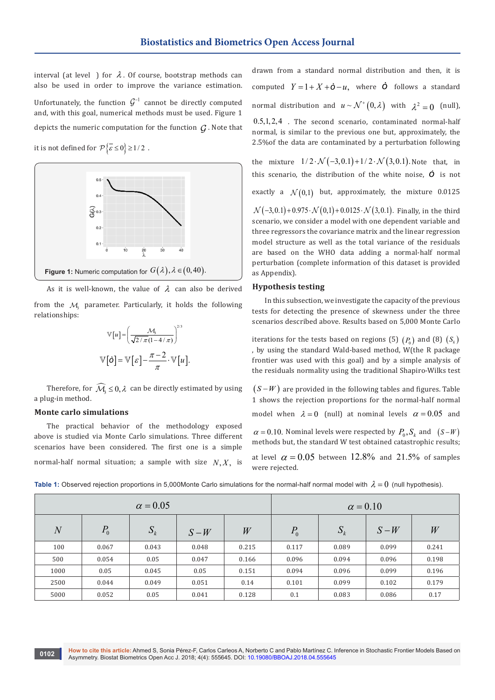interval (at level ) for  $\lambda$ . Of course, bootstrap methods can also be used in order to improve the variance estimation. Unfortunately, the function  $\mathcal{G}^{-1}$  cannot be directly computed and, with this goal, numerical methods must be used. Figure 1 depicts the numeric computation for the function  $\mathcal G$ . Note that

it is not defined for  $\mathcal{P}\left\{\overline{\varepsilon} \leq 0\right\} \geq 1/2$ .



As it is well-known, the value of  $\lambda$  can also be derived

from the  $M$ , parameter. Particularly, it holds the following relationships:

$$
\mathbb{V}[u] = \left(\frac{\mathcal{M}_3}{\sqrt{2/\pi}(1-4/\pi)}\right)^{2/3}
$$

$$
\mathbb{V}[\mathbf{0}] = \mathbb{V}[\varepsilon] - \frac{\pi - 2}{\pi} \cdot \mathbb{V}[u].
$$

Therefore, for  $\widehat{\mathcal{M}}_s \leq 0$ ,  $\lambda$  can be directly estimated by using a plug-in method.

#### **Monte carlo simulations**

The practical behavior of the methodology exposed above is studied via Monte Carlo simulations. Three different scenarios have been considered. The first one is a simple normal-half normal situation; a sample with size  $N, X$ , is

drawn from a standard normal distribution and then, it is computed  $Y = 1 + X + \dot{\mathbf{O}} - u$ , where  $\dot{\mathbf{O}}$  follows a standard normal distribution and  $u \sim \mathcal{N}^+(0, \lambda)$  with  $\lambda^2 = 0$  (null),  $0.5, 1, 2, 4$  . The second scenario, contaminated normal-half normal, is similar to the previous one but, approximately, the 2.5%of the data are contaminated by a perturbation following

the mixture  $1/2 \cdot \mathcal{N}(-3,0.1) + 1/2 \cdot \mathcal{N}(3,0.1)$ . Note that, in this scenario, the distribution of the white noise,  $\dot{\mathcal{O}}$  is not

exactly a  $\mathcal{N}(0,1)$  but, approximately, the mixture 0.0125

 $\mathcal{N}(-3, 0.1) + 0.975 \cdot \mathcal{N}(0, 1) + 0.0125 \cdot \mathcal{N}(3, 0.1)$ . Finally, in the third scenario, we consider a model with one dependent variable and three regressors the covariance matrix and the linear regression model structure as well as the total variance of the residuals are based on the WHO data adding a normal-half normal perturbation (complete information of this dataset is provided as Appendix).

#### **Hypothesis testing**

In this subsection, we investigate the capacity of the previous tests for detecting the presence of skewness under the three scenarios described above. Results based on 5,000 Monte Carlo

iterations for the tests based on regions (5)  $(P_0)$  and (8)  $(S_k)$ , by using the standard Wald-based method, W(the R package frontier was used with this goal) and by a simple analysis of the residuals normality using the traditional Shapiro-Wilks test

 $(S-W)$  are provided in the following tables and figures. Table 1 shows the rejection proportions for the normal-half normal model when  $\lambda = 0$  (null) at nominal levels  $\alpha = 0.05$  and

 $\alpha = 0.10$ . Nominal levels were respected by  $P_0$ ,  $S_k$  and  $(S-W)$ methods but, the standard W test obtained catastrophic results;

at level  $\alpha = 0.05$  between 12.8% and 21.5% of samples were rejected.

|                |       | $\alpha = 0.05$ |       | $\alpha = 0.10$ |       |       |       |       |
|----------------|-------|-----------------|-------|-----------------|-------|-------|-------|-------|
| $\overline{N}$ | $P_0$ | $S_k$           | $S-W$ | W               | $P_0$ | $S_k$ | $S-W$ | W     |
| 100            | 0.067 | 0.043           | 0.048 | 0.215           | 0.117 | 0.089 | 0.099 | 0.241 |
| 500            | 0.054 | 0.05            | 0.047 | 0.166           | 0.096 | 0.094 | 0.096 | 0.198 |
| 1000           | 0.05  | 0.045           | 0.05  | 0.151           | 0.094 | 0.096 | 0.099 | 0.196 |
| 2500           | 0.044 | 0.049           | 0.051 | 0.14            | 0.101 | 0.099 | 0.102 | 0.179 |
| 5000           | 0.052 | 0.05            | 0.041 | 0.128           | 0.1   | 0.083 | 0.086 | 0.17  |

**Table 1:** Observed rejection proportions in 5,000Monte Carlo simulations for the normal-half normal model with  $\lambda = 0$  (null hypothesis).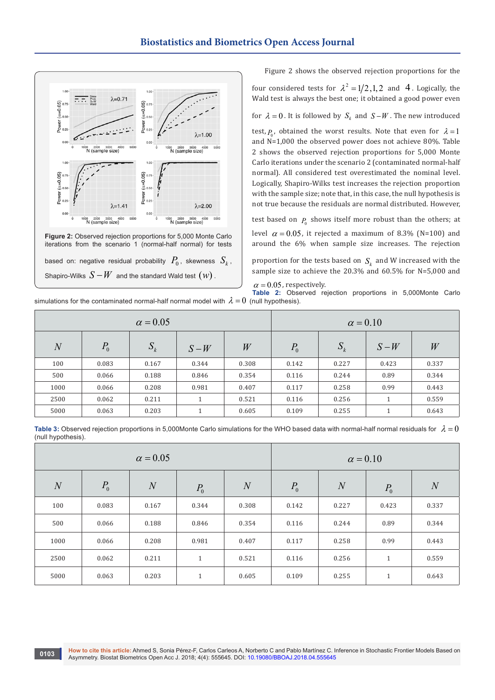

Figure 2 shows the observed rejection proportions for the

four considered tests for  $\lambda^2 = 1/2, 1, 2$  and 4. Logically, the Wald test is always the best one; it obtained a good power even

for  $\lambda = 0$ . It is followed by  $S_k$  and  $S - W$ . The new introduced

test,  $P_0$ , obtained the worst results. Note that even for  $\lambda = 1$ and N=1,000 the observed power does not achieve 80%. Table 2 shows the observed rejection proportions for 5,000 Monte Carlo iterations under the scenario 2 (contaminated normal-half normal). All considered test overestimated the nominal level. Logically, Shapiro-Wilks test increases the rejection proportion with the sample size; note that, in this case, the null hypothesis is not true because the residuals are normal distributed. However,

test based on  $P_0$  shows itself more robust than the others; at level  $\alpha = 0.05$ , it rejected a maximum of 8.3% (N=100) and around the 6% when sample size increases. The rejection

proportion for the tests based on  $S_k$  and W increased with the sample size to achieve the 20.3% and 60.5% for N=5,000 and

 $\alpha$  = 0.05, respectively.

**Table 2:** Observed rejection proportions in 5,000Monte Carlo simulations for the contaminated normal-half normal model with  $\lambda = 0$  (null hypothesis).

|                |       | $\alpha = 0.05$ |                      | $\alpha = 0.10$ |       |       |              |       |
|----------------|-------|-----------------|----------------------|-----------------|-------|-------|--------------|-------|
| $\overline{N}$ | $P_0$ | $S_k$           | $S-W$                | W               | $P_0$ | $S_k$ | $S-W$        | W     |
| 100            | 0.083 | 0.167           | 0.344                | 0.308           | 0.142 | 0.227 | 0.423        | 0.337 |
| 500            | 0.066 | 0.188           | 0.846                | 0.354           | 0.116 | 0.244 | 0.89         | 0.344 |
| 1000           | 0.066 | 0.208           | 0.981                | 0.407           | 0.117 | 0.258 | 0.99         | 0.443 |
| 2500           | 0.062 | 0.211           | $\mathbf{1}$         | 0.521           | 0.116 | 0.256 | $\mathbf{1}$ | 0.559 |
| 5000           | 0.063 | 0.203           | $\blacktriangleleft$ | 0.605           | 0.109 | 0.255 | 1            | 0.643 |

**Table 3:** Observed rejection proportions in 5,000Monte Carlo simulations for the WHO based data with normal-half normal residuals for  $\lambda = 0$ (null hypothesis).

|                |       | $\alpha = 0.05$ |              | $\alpha = 0.10$ |         |                |              |                |
|----------------|-------|-----------------|--------------|-----------------|---------|----------------|--------------|----------------|
| $\overline{N}$ | $P_0$ | $\overline{N}$  | $P_0$        | $\overline{N}$  | $P_{0}$ | $\overline{N}$ | $P_0$        | $\overline{N}$ |
| 100            | 0.083 | 0.167           | 0.344        | 0.308           | 0.142   | 0.227          | 0.423        | 0.337          |
| 500            | 0.066 | 0.188           | 0.846        | 0.354           | 0.116   | 0.244          | 0.89         | 0.344          |
| 1000           | 0.066 | 0.208           | 0.981        | 0.407           | 0.117   | 0.258          | 0.99         | 0.443          |
| 2500           | 0.062 | 0.211           | $\mathbf{1}$ | 0.521           | 0.116   | 0.256          | $\mathbf{1}$ | 0.559          |
| 5000           | 0.063 | 0.203           | $\mathbf{1}$ | 0.605           | 0.109   | 0.255          | $\mathbf{1}$ | 0.643          |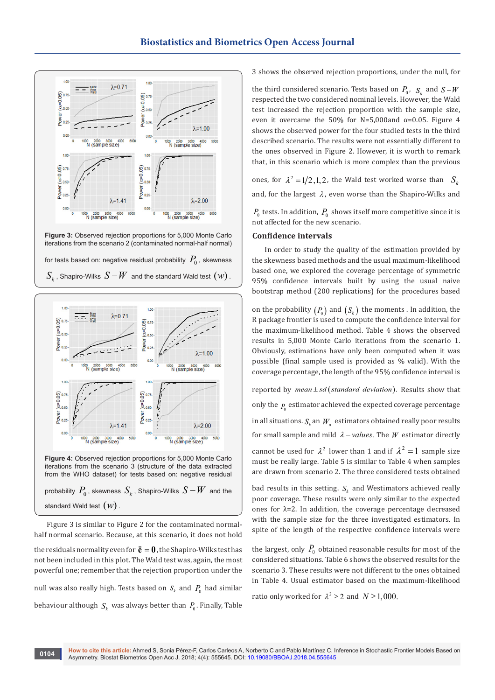

**Figure 3:** Observed rejection proportions for 5,000 Monte Carlo iterations from the scenario 2 (contaminated normal-half normal) for tests based on: negative residual probability  $P_0$ , skewness  $\overline{S}_k$  , Shapiro-Wilks  $\overline{S}-W$  and the standard Wald test  $\left( w\right)$  .



Figure 3 is similar to Figure 2 for the contaminated normalhalf normal scenario. Because, at this scenario, it does not hold the residuals normality even for  $\ddot{\mathbf{e}} = \mathbf{0}$ , the Shapiro-Wilks test has not been included in this plot. The Wald test was, again, the most powerful one; remember that the rejection proportion under the null was also really high. Tests based on  $S_k$  and  $P_0$  had similar behaviour although  $S_k$  was always better than  $P_0$ . Finally, Table 3 shows the observed rejection proportions, under the null, for

the third considered scenario. Tests based on  $P_0$ ,  $S_k$  and  $S-W$ respected the two considered nominal levels. However, the Wald test increased the rejection proportion with the sample size, even it overcame the 50% for N=5,000and  $\alpha$ =0.05. Figure 4 shows the observed power for the four studied tests in the third described scenario. The results were not essentially different to the ones observed in Figure 2. However, it is worth to remark that, in this scenario which is more complex than the previous

ones, for  $\lambda^2 = 1/2, 1, 2$ , the Wald test worked worse than  $S_i$ and, for the largest  $\lambda$ , even worse than the Shapiro-Wilks and

 $P_0$  tests. In addition,  $P_0$  shows itself more competitive since it is not affected for the new scenario.

#### **Confidence intervals**

In order to study the quality of the estimation provided by the skewness based methods and the usual maximum-likelihood based one, we explored the coverage percentage of symmetric 95% confidence intervals built by using the usual naive bootstrap method (200 replications) for the procedures based

on the probability  $(P_0)$  and  $(S_k)$  the moments . In addition, the R package frontier is used to compute the confidence interval for the maximum-likelihood method. Table 4 shows the observed results in 5,000 Monte Carlo iterations from the scenario 1. Obviously, estimations have only been computed when it was possible (final sample used is provided as % valid). With the coverage percentage, the length of the 95% confidence interval is reported by  $mean \pm sd$  (*standard deviation*). Results show that

only the  $P_{0}$  estimator achieved the expected coverage percentage

in all situations.  $S_k$  an  $W_d$  estimators obtained really poor results

for small sample and mild  $\lambda$  – *values*. The *W* estimator directly

cannot be used for  $\lambda^2$  lower than 1 and if  $\lambda^2 = 1$  sample size must be really large. Table 5 is similar to Table 4 when samples are drawn from scenario 2. The three considered tests obtained

bad results in this setting.  $S_k$  and Westimators achieved really poor coverage. These results were only similar to the expected ones for  $\lambda$ =2. In addition, the coverage percentage decreased with the sample size for the three investigated estimators. In spite of the length of the respective confidence intervals were

the largest, only  $P_0$  obtained reasonable results for most of the considered situations. Table 6 shows the observed results for the scenario 3. These results were not different to the ones obtained in Table 4. Usual estimator based on the maximum-likelihood

ratio only worked for  $\lambda^2 \geq 2$  and  $N \geq 1,000$ .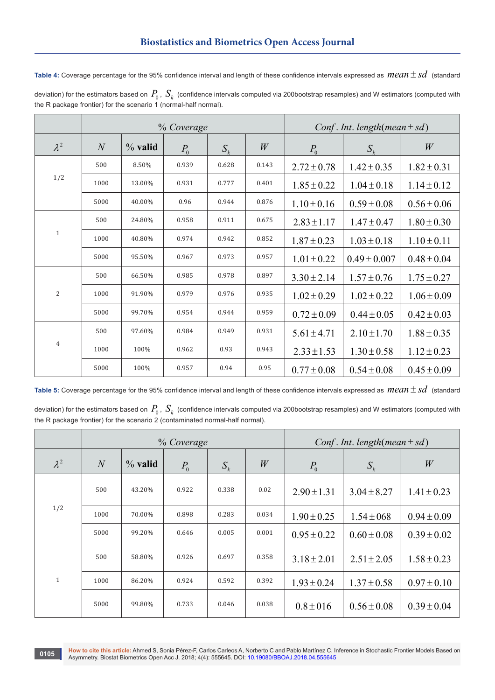| Table 4: Coverage percentage for the 95% confidence interval and length of these confidence intervals expressed as $\textit{mean} \pm \textit{sd}$ (standard |  |
|--------------------------------------------------------------------------------------------------------------------------------------------------------------|--|
| deviation) for the estimators based on $P_0$ , $S_k$ (confidence intervals computed via 200bootstrap resamples) and W estimators (computed with              |  |

the R package frontier) for the scenario 1 (normal-half normal).

|                |                |           | % Coverage |       | Conf. Int. length (mean $\pm sd$ ) |                 |                  |                 |
|----------------|----------------|-----------|------------|-------|------------------------------------|-----------------|------------------|-----------------|
| $\lambda^2$    | $\overline{N}$ | $%$ valid | $P_0$      | $S_k$ | W                                  | $P_0$           | $S_k$            | W               |
|                | 500            | 8.50%     | 0.939      | 0.628 | 0.143                              | $2.72 \pm 0.78$ | $1.42 \pm 0.35$  | $1.82 \pm 0.31$ |
| 1/2            | 1000           | 13.00%    | 0.931      | 0.777 | 0.401                              | $1.85 \pm 0.22$ | $1.04 \pm 0.18$  | $1.14 \pm 0.12$ |
|                | 5000           | 40.00%    | 0.96       | 0.944 | 0.876                              | $1.10 \pm 0.16$ | $0.59 \pm 0.08$  | $0.56 \pm 0.06$ |
| $\mathbf{1}$   | 500            | 24.80%    | 0.958      | 0.911 | 0.675                              | $2.83 \pm 1.17$ | $1.47 \pm 0.47$  | $1.80 \pm 0.30$ |
|                | 1000           | 40.80%    | 0.974      | 0.942 | 0.852                              | $1.87 \pm 0.23$ | $1.03 \pm 0.18$  | $1.10 \pm 0.11$ |
|                | 5000           | 95.50%    | 0.967      | 0.973 | 0.957                              | $1.01 \pm 0.22$ | $0.49 \pm 0.007$ | $0.48 \pm 0.04$ |
|                | 500            | 66.50%    | 0.985      | 0.978 | 0.897                              | $3.30 \pm 2.14$ | $1.57 \pm 0.76$  | $1.75 \pm 0.27$ |
| $\overline{2}$ | 1000           | 91.90%    | 0.979      | 0.976 | 0.935                              | $1.02 \pm 0.29$ | $1.02 \pm 0.22$  | $1.06 \pm 0.09$ |
|                | 5000           | 99.70%    | 0.954      | 0.944 | 0.959                              | $0.72 \pm 0.09$ | $0.44 \pm 0.05$  | $0.42 \pm 0.03$ |
| $\overline{4}$ | 500            | 97.60%    | 0.984      | 0.949 | 0.931                              | $5.61 \pm 4.71$ | $2.10 \pm 1.70$  | $1.88 \pm 0.35$ |
|                | 1000           | 100%      | 0.962      | 0.93  | 0.943                              | $2.33 \pm 1.53$ | $1.30 \pm 0.58$  | $1.12 \pm 0.23$ |
|                | 5000           | 100%      | 0.957      | 0.94  | 0.95                               | $0.77 \pm 0.08$ | $0.54 \pm 0.08$  | $0.45 \pm 0.09$ |

**Table 5:** Coverage percentage for the 95% confidence interval and length of these confidence intervals expressed as  $mean \pm sd$  (standard

deviation) for the estimators based on  $\,P_0$  ,  $\,S_k\,$  (confidence intervals computed via 200bootstrap resamples) and W estimators (computed with the R package frontier) for the scenario 2 (contaminated normal-half normal).

|              |                |           | % Coverage |       | Conf. Int. length (mean $\pm sd$ ) |                 |                 |                 |
|--------------|----------------|-----------|------------|-------|------------------------------------|-----------------|-----------------|-----------------|
| $\lambda^2$  | $\overline{N}$ | $%$ valid | $P_0$      | $S_k$ | W                                  | $P_{0}$         | $S_{k}$         | W               |
| 1/2          | 500            | 43.20%    | 0.922      | 0.338 | 0.02                               | $2.90 \pm 1.31$ | $3.04 \pm 8.27$ | $1.41 \pm 0.23$ |
|              | 1000           | 70.00%    | 0.898      | 0.283 | 0.034                              | $1.90 \pm 0.25$ | $1.54 \pm 068$  | $0.94 \pm 0.09$ |
|              | 5000           | 99.20%    | 0.646      | 0.005 | 0.001                              | $0.95 \pm 0.22$ | $0.60 \pm 0.08$ | $0.39 \pm 0.02$ |
| $\mathbf{1}$ | 500            | 58.80%    | 0.926      | 0.697 | 0.358                              | $3.18 \pm 2.01$ | $2.51 \pm 2.05$ | $1.58 \pm 0.23$ |
|              | 1000           | 86.20%    | 0.924      | 0.592 | 0.392                              | $1.93 \pm 0.24$ | $1.37 \pm 0.58$ | $0.97 \pm 0.10$ |
|              | 5000           | 99.80%    | 0.733      | 0.046 | 0.038                              | $0.8 \pm 016$   | $0.56 \pm 0.08$ | $0.39 \pm 0.04$ |

**How to cite this article:** Ahmed S, Sonia Pérez-F, Carlos Carleos A, Norberto C and Pablo Martínez C. Inference in Stochastic Frontier Models Based on Asymmetry. Biostat Biometrics Open Acc J. 2018; 4(4): 555645. DOI: [10.19080/BBOAJ.2018.04.555645](http://dx.doi.org/10.19080/BBOAJ.2018.04.555645)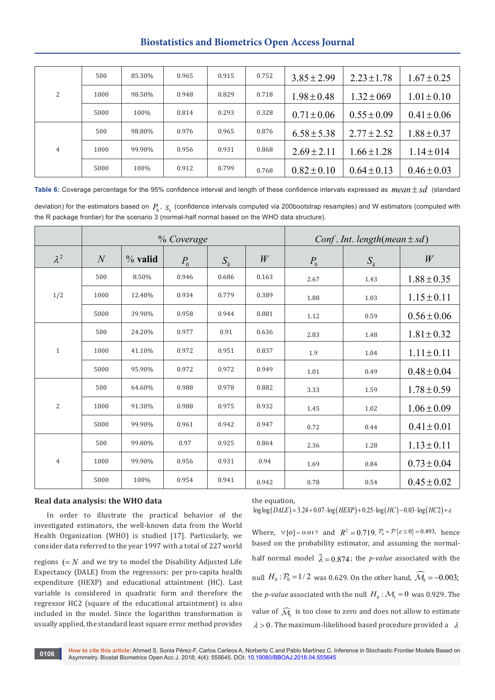# **Biostatistics and Biometrics Open Access Journal**

| 2 | 500  | 85.30% | 0.965 | 0.915 | 0.752 | $3.85 \pm 2.99$ | $2.23 \pm 1.78$ | $1.67 \pm 0.25$ |
|---|------|--------|-------|-------|-------|-----------------|-----------------|-----------------|
|   | 1000 | 98.50% | 0.948 | 0.829 | 0.718 | $1.98 \pm 0.48$ | $1.32 \pm 069$  | $1.01 \pm 0.10$ |
|   | 5000 | 100%   | 0.814 | 0.293 | 0.328 | $0.71 \pm 0.06$ | $0.55 \pm 0.09$ | $0.41 \pm 0.06$ |
| 4 | 500  | 98.80% | 0.976 | 0.965 | 0.876 | $6.58 \pm 5.38$ | $2.77 \pm 2.52$ | $1.88 \pm 0.37$ |
|   | 1000 | 99.90% | 0.956 | 0.931 | 0.868 | $2.69 \pm 2.11$ | $1.66 \pm 1.28$ | $1.14 \pm 014$  |
|   | 5000 | 100%   | 0.912 | 0.799 | 0.768 | $0.82 \pm 0.10$ | $0.64 \pm 0.13$ | $0.46 \pm 0.03$ |

Table 6: Coverage percentage for the 95% confidence interval and length of these confidence intervals expressed as *mean*  $\pm sd$  (standard

deviation) for the estimators based on  $P_0$ ,  $S_k$  (confidence intervals computed via 200bootstrap resamples) and W estimators (computed with the R package frontier) for the scenario 3 (normal-half normal based on the WHO data structure).

|                |                   |           | % Coverage |       | Conf. Int. length(mean $\pm sd$ ) |       |       |                 |
|----------------|-------------------|-----------|------------|-------|-----------------------------------|-------|-------|-----------------|
| $\lambda^2$    | $\mathcal{N}_{0}$ | $%$ valid | $P_{0}$    | $S_k$ | W                                 | $P_0$ | $S_k$ | W               |
|                | 500               | 8.50%     | 0.946      | 0.686 | 0.163                             | 2.67  | 1.43  | $1.88 \pm 0.35$ |
| 1/2            | 1000              | 12.40%    | 0.934      | 0.779 | 0.389                             | 1.88  | 1.03  | $1.15 \pm 0.11$ |
|                | 5000              | 39.90%    | 0.958      | 0.944 | 0.881                             | 1.12  | 0.59  | $0.56 \pm 0.06$ |
| $\mathbf{1}$   | 500               | 24.20%    | 0.977      | 0.91  | 0.636                             | 2.83  | 1.48  | $1.81 \pm 0.32$ |
|                | 1000              | 41.10%    | 0.972      | 0.951 | 0.837                             | 1.9   | 1.04  | $1.11 \pm 0.11$ |
|                | 5000              | 95.90%    | 0.972      | 0.972 | 0.949                             | 1.01  | 0.49  | $0.48 \pm 0.04$ |
|                | 500               | 64.60%    | 0.988      | 0.978 | 0.882                             | 3.33  | 1.59  | $1.78 \pm 0.59$ |
| $\overline{2}$ | 1000              | 91.30%    | 0.988      | 0.975 | 0.932                             | 1.45  | 1.02  | $1.06 \pm 0.09$ |
|                | 5000              | 99.90%    | 0.961      | 0.942 | 0.947                             | 0.72  | 0.44  | $0.41 \pm 0.01$ |
| $\overline{4}$ | 500               | 99.80%    | 0.97       | 0.925 | 0.864                             | 2.36  | 1.28  | $1.13 \pm 0.11$ |
|                | 1000              | 99.90%    | 0.956      | 0.931 | 0.94                              | 1.69  | 0.84  | $0.73 \pm 0.04$ |
|                | 5000              | 100%      | 0.954      | 0.941 | 0.942                             | 0.78  | 0.54  | $0.45 \pm 0.02$ |

#### **Real data analysis: the WHO data**

In order to illustrate the practical behavior of the investigated estimators, the well-known data from the World Health Organization (WHO) is studied [17]. Particularly, we consider data referred to the year 1997 with a total of 227 world

regions  $(= N \text{ and we try to model the Disability Adjusted Life})$ Expectancy (DALE) from the regressors: per pro-capita health expenditure (HEXP) and educational attaintment (HC). Last variable is considered in quadratic form and therefore the regressor HC2 (square of the educational attaintment) is also included in the model. Since the logarithm transformation is usually applied, the standard least square error method provides

the equation,

 $\log \log (DALE) = 3.24 + 0.07 \cdot \log (HEXP) + 0.25 \cdot \log (HC) - 0.03 \cdot \log (HC2) + \varepsilon$ 

Where,  $\mathbb{V}[\phi] = 0.017$  and  $R^2 = 0.719$ ,  $P_0 = \mathcal{P}\{\varepsilon \le 0\} = 0.493$ , hence based on the probability estimator, and assuming the normalhalf normal model  $\hat{\lambda} = 0.874$ ; the *p-value* associated with the null  $H_0$ :  $P_0 = 1/2$  was 0.629. On the other hand,  $\widehat{\mathcal{M}}_3 = -0.003$ ; the *p*-value associated with the null  $H_0$ :  $M_3 = 0$  was 0.929. The value of  $\widehat{\mathcal{M}}_3$  is too close to zero and does not allow to estimate  $\lambda > 0$ . The maximum-likelihood based procedure provided a  $\lambda$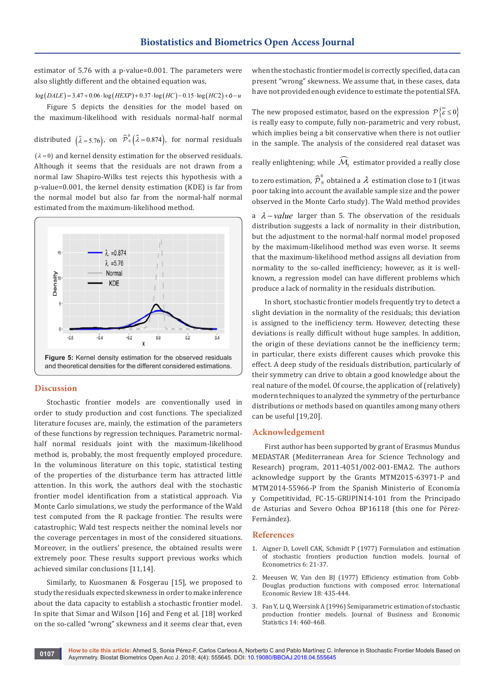estimator of 5.76 with a p-value=0.001. The parameters were also slightly different and the obtained equation was,

 $\log (DALE) = 3.47 + 0.06 \cdot \log (HEXP) + 0.37 \cdot \log (HC) - 0.15 \cdot \log (HC2) + \dot{\sigma} - u$ 

Figure 5 depicts the densities for the model based on the maximum-likelihood with residuals normal-half normal

distributed  $(\hat{\lambda} = 5.76)$ , on  $\hat{\mathcal{P}}_N^0(\hat{\lambda} = 0.874)$ , for normal residuals

 $(\lambda = 0)$  and kernel density estimation for the observed residuals. Although it seems that the residuals are not drawn from a normal law Shapiro-Wilks test rejects this hypothesis with a p-value=0.001, the kernel density estimation (KDE) is far from the normal model but also far from the normal-half normal estimated from the maximum-likelihood method.



#### **Discussion**

Stochastic frontier models are conventionally used in order to study production and cost functions. The specialized literature focuses are, mainly, the estimation of the parameters of these functions by regression techniques. Parametric normalhalf normal residuals joint with the maximum-likelihood method is, probably, the most frequently employed procedure. In the voluminous literature on this topic, statistical testing of the properties of the disturbance term has attracted little attention. In this work, the authors deal with the stochastic frontier model identification from a statistical approach. Via Monte Carlo simulations, we study the performance of the Wald test computed from the R package frontier. The results were catastrophic; Wald test respects neither the nominal levels nor the coverage percentages in most of the considered situations. Moreover, in the outliers' presence, the obtained results were extremely poor. These results support previous works which achieved similar conclusions [11,14].

Similarly, to Kuosmanen & Fosgerau [15], we proposed to study the residuals expected skewness in order to make inference about the data capacity to establish a stochastic frontier model. In spite that Simar and Wilson [16] and Feng et al. [18] worked on the so-called "wrong" skewness and it seems clear that, even

when the stochastic frontier model is correctly specified, data can present "wrong" skewness. We assume that, in these cases, data have not provided enough evidence to estimate the potential SFA.

The new proposed estimator, based on the expression  ${\mathcal{P}} {\bar{\varepsilon}} \le 0$ is really easy to compute, fully non-parametric and very robust, which implies being a bit conservative when there is not outlier in the sample. The analysis of the considered real dataset was

really enlightening; while  $\widehat{\mathcal{M}}_{\!\scriptscriptstyle\beta}$  estimator provided a really close

to zero estimation,  $\widehat{\cal P}_N^0$  obtained a  $\,\lambda\,$  estimation close to 1 (it was poor taking into account the available sample size and the power observed in the Monte Carlo study). The Wald method provides

a  $\lambda$  – *value* larger than 5. The observation of the residuals distribution suggests a lack of normality in their distribution, but the adjustment to the normal-half normal model proposed by the maximum-likelihood method was even worse. It seems that the maximum-likelihood method assigns all deviation from normality to the so-called inefficiency; however, as it is wellknown, a regression model can have different problems which produce a lack of normality in the residuals distribution.

In short, stochastic frontier models frequently try to detect a slight deviation in the normality of the residuals; this deviation is assigned to the inefficiency term. However, detecting these deviations is really difficult without huge samples. In addition, the origin of these deviations cannot be the inefficiency term; in particular, there exists different causes which provoke this effect. A deep study of the residuals distribution, particularly of their symmetry can drive to obtain a good knowledge about the real nature of the model. Of course, the application of (relatively) modern techniques to analyzed the symmetry of the perturbance distributions or methods based on quantiles among many others can be useful [19,20].

# **Acknowledgement**

First author has been supported by grant of Erasmus Mundus MEDASTAR (Mediterranean Area for Science Technology and Research) program, 2011-4051/002-001-EMA2. The authors acknowledge support by the Grants MTM2015-63971-P and MTM2014-55966-P from the Spanish Ministerio of Economía y Competitividad, FC-15-GRUPIN14-101 from the Principado de Asturias and Severo Ochoa BP16118 (this one for Pérez-Fernández).

#### **References**

- 1. [Aigner D, Lovell CAK, Schmidt P \(1977\) Formulation and estimation](https://www.sciencedirect.com/science/article/pii/0304407677900525)  [of stochastic frontiers production function models. Journal of](https://www.sciencedirect.com/science/article/pii/0304407677900525)  [Econometrics 6: 21-37.](https://www.sciencedirect.com/science/article/pii/0304407677900525)
- 2. Meeusen W, Van den BJ (1977) Efficiency estimation from Cobb-Douglas production functions with composed error. International Economic Review 18: 435-444.
- 3. Fan Y, Li Q, Weersink A (1996) Semiparametric estimation of stochastic production frontier models. Journal of Business and Economic Statistics 14: 460-468.